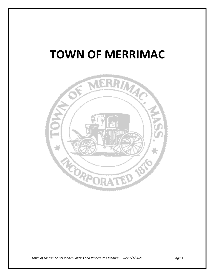# **TOWN OF MERRIMAC**



*Town of Merrimac Personnel Policies and Procedures Manual Rev 1/1/2021 Page* 1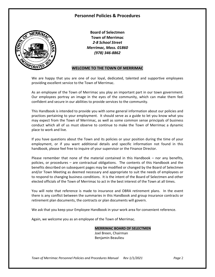# **Personnel Policies & Procedures**



**Board of Selectmen Town of Merrimac** *2-8 School Street Merrimac, Mass. 01860 (978) 346-8862*

## **WELCOME TO THE TOWN OF MERRIMAC**

We are happy that you are one of our loyal, dedicated, talented and supportive employees providing excellent service to the Town of Merrimac.

As an employee of the Town of Merrimac you play an important part in our town government. Our employees portray an image in the eyes of the community, which can make them feel confident and secure in our abilities to provide services to the community.

This Handbook is intended to provide you with some general information about our policies and practices pertaining to your employment. It should serve as a guide to let you know what you may expect from the Town of Merrimac, as well as some common sense principals of business conduct which all of us must observe to continue to make the Town of Merrimac a dynamic place to work and live.

If you have questions about the Town and its policies or your position during the time of your employment, or if you want additional details and specific information not found in this handbook, please feel free to inquire of your supervisor or the Finance Director.

Please remember that none of the material contained in this Handbook – nor any benefits, policies, or procedures – are contractual obligations. The contents of this Handbook and the benefits described on subsequent pages may be modified or changed by the Board of Selectmen and/or Town Meeting as deemed necessary and appropriate to suit the needs of employees or to respond to changing business conditions. It is the intent of the Board of Selectmen and other elected officials of the Town of Merrimac to act in the best interest of the Town at all times.

You will note that reference is made to insurance and OBRA retirement plans. In the event there is any conflict between the summaries in this Handbook and group insurance contracts or retirement plan documents, the contracts or plan documents will govern.

We ask that you keep your Employee Handbook in your work area for convenient reference.

Again, we welcome you as an employee of the Town of Merrimac.

**MERRIMAC BOARD OF SELECTMEN** Joel Breen, Chairman Benjamin Beaulieu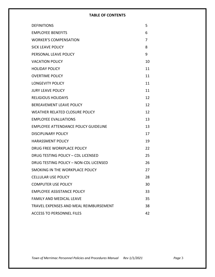# **TABLE OF CONTENTS**

| <b>DEFINITIONS</b>                          | 5  |
|---------------------------------------------|----|
| <b>EMPLOYEE BENEFITS</b>                    | 6  |
| <b>WORKER'S COMPENSATION</b>                | 7  |
| <b>SICK LEAVE POLICY</b>                    | 8  |
| PERSONAL LEAVE POLICY                       | 9  |
| <b>VACATION POLICY</b>                      | 10 |
| <b>HOLIDAY POLICY</b>                       | 11 |
| <b>OVERTIME POLICY</b>                      | 11 |
| <b>LONGEVITY POLICY</b>                     | 11 |
| <b>JURY LEAVE POLICY</b>                    | 11 |
| <b>RELIGIOUS HOLIDAYS</b>                   | 12 |
| <b>BEREAVEMENT LEAVE POLICY</b>             | 12 |
| WEATHER RELATED CLOSURE POLICY              | 12 |
| <b>EMPLOYEE EVALUATIONS</b>                 | 13 |
| <b>EMPLOYEE ATTENDANCE POLICY GUIDELINE</b> | 13 |
| <b>DISCIPLINARY POLICY</b>                  | 17 |
| <b>HARASSMENT POLICY</b>                    | 19 |
| DRUG FREE WORKPLACE POLICY                  | 22 |
| DRUG TESTING POLICY - CDL LICENSED          | 25 |
| DRUG TESTING POLICY - NON-CDL LICENSED      | 26 |
| SMOKING IN THE WORKPLACE POLICY             | 27 |
| <b>CELLULAR USE POLICY</b>                  | 28 |
| <b>COMPUTER USE POLICY</b>                  | 30 |
| <b>EMPLOYEE ASSISTANCE POLICY</b>           | 33 |
| <b>FAMILY AND MEDICAL LEAVE</b>             | 35 |
| TRAVEL EXPENSES AND MEAL REIMBURSEMENT      | 38 |
| <b>ACCESS TO PERSONNEL FILES</b>            | 42 |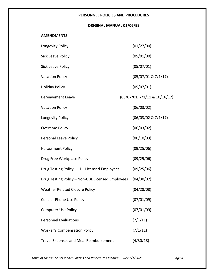# **PERSONNEL POLICIES AND PROCEDURES**

# **ORIGINAL MANUAL 01/06/99**

## **AMENDMENTS:**

| Longevity Policy                                 | (01/27/00)                    |
|--------------------------------------------------|-------------------------------|
| <b>Sick Leave Policy</b>                         | (05/01/00)                    |
| <b>Sick Leave Policy</b>                         | (05/07/01)                    |
| <b>Vacation Policy</b>                           | (05/07/01 & 7/1/17)           |
| <b>Holiday Policy</b>                            | (05/07/01)                    |
| <b>Bereavement Leave</b>                         | (05/07/01, 7/1/11 & 10/16/17) |
| <b>Vacation Policy</b>                           | (06/03/02)                    |
| Longevity Policy                                 | (06/03/02 & 7/1/17)           |
| <b>Overtime Policy</b>                           | (06/03/02)                    |
| Personal Leave Policy                            | (06/10/03)                    |
| Harassment Policy                                | (09/25/06)                    |
| Drug Free Workplace Policy                       | (09/25/06)                    |
| Drug Testing Policy - CDL Licensed Employees     | (09/25/06)                    |
| Drug Testing Policy - Non-CDL Licensed Employees | (04/30/07)                    |
| <b>Weather Related Closure Policy</b>            | (04/28/08)                    |
| <b>Cellular Phone Use Policy</b>                 | (07/01/09)                    |
| <b>Computer Use Policy</b>                       | (07/01/09)                    |
| <b>Personnel Evaluations</b>                     | (7/1/11)                      |
| <b>Worker's Compensation Policy</b>              | (7/1/11)                      |
| <b>Travel Expenses and Meal Reimbursement</b>    | (4/30/18)                     |

*Town of Merrimac Personnel Policies and Procedures Manual Rev 1/1/2021 Page* 4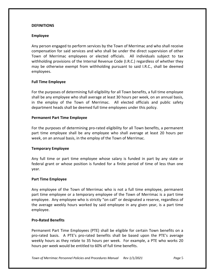# **DEFINITIONS**

# **Employee**

Any person engaged to perform services by the Town of Merrimac and who shall receive compensation for said services and who shall be under the direct supervision of other Town of Merrimac employees or elected officials. All individuals subject to tax withholding provisions of the Internal Revenue Code (I.R.C.) regardless of whether they may be otherwise exempt from withholding pursuant to said I.R.C., shall be deemed employees.

# **Full Time Employee**

For the purposes of determining full eligibility for all Town benefits, a full time employee shall be any employee who shall average at least 30 hours per week, on an annual basis, in the employ of the Town of Merrimac. All elected officials and public safety department heads shall be deemed full time employees under this policy.

## **Permanent Part Time Employee**

For the purposes of determining pro-rated eligibility for all Town benefits, a permanent part time employee shall be any employee who shall average at least 20 hours per week, on an annual basis, in the employ of the Town of Merrimac.

## **Temporary Employee**

Any full time or part time employee whose salary is funded in part by any state or federal grant or whose position is funded for a finite period of time of less than one year.

## **Part Time Employee**

Any employee of the Town of Merrimac who is not a full time employee, permanent part time employee or a temporary employee of the Town of Merrimac is a part time employee. Any employee who is strictly "on call" or designated a reserve, regardless of the average weekly hours worked by said employee in any given year, is a part time employee.

## **Pro-Rated Benefits**

Permanent Part Time Employees (PTE) shall be eligible for certain Town benefits on a pro-rated basis. A PTE's pro-rated benefits shall be based upon the PTE's average weekly hours as they relate to 35 hours per week. For example, a PTE who works 20 hours per week would be entitled to 60% of full time benefits.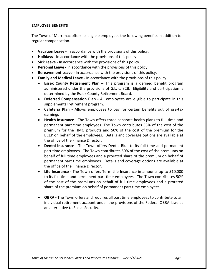## **EMPLOYEE BENEFITS**

The Town of Merrimac offers its eligible employees the following benefits in addition to regular compensation.

- **Vacation Leave -** In accordance with the provisions of this policy.
- **Holidays -** In accordance with the provisions of this policy
- **Sick Leave -** In accordance with the provisions of this policy.
- **Personal Leave -** In accordance with the provisions of this policy.
- **Bereavement Leave -** In accordance with the provisions of this policy.
- **Family and Medical Leave -** In accordance with the provisions of this policy.
	- **Essex County Retirement Plan –** This program is a defined benefit program administered under the provisions of G.L. c. 32B. Eligibility and participation is determined by the Essex County Retirement Board.
	- **Deferred Compensation Plan -** All employees are eligible to participate in this supplemental retirement program.
	- **Cafeteria Plan -** Allows employees to pay for certain benefits out of pre-tax earnings
	- **Health Insurance -** The Town offers three separate health plans to full time and permanent part time employees. The Town contributes 55% of the cost of the premium for the HMO products and 50% of the cost of the premium for the BCEP on behalf of the employees. Details and coverage options are available at the office of the Finance Director.
	- **Dental Insurance -** The Town offers Dental Blue to its full time and permanent part time employees. The Town contributes 50% of the cost of the premiums on behalf of full time employees and a prorated share of the premium on behalf of permanent part time employees. Details and coverage options are available at the office of the Finance Director.
	- **Life Insurance -** The Town offers Term Life Insurance in amounts up to \$10,000 to its full time and permanent part time employees. The Town contributes 50% of the cost of the premiums on behalf of full time employees and a prorated share of the premium on behalf of permanent part time employees.
	- **OBRA -** The Town offers and requires all part time employees to contribute to an individual retirement account under the provisions of the Federal OBRA laws as an alternative to Social Security.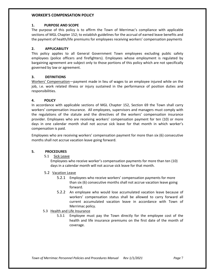#### **WORKER'S COMPENSATION POLICY**

## **1. PURPOSE AND SCOPE**

The purpose of this policy is to affirm the Town of Merrimac's compliance with applicable sections of MGL Chapter 152; to establish guidelines for the accrual of earned leave benefits and the payment of health/life premiums for employees receiving workers' compensation payments

## **2. APPLICABILITY**

This policy applies to all General Government Town employees excluding public safety employees (police officers and firefighters). Employees whose employment is regulated by bargaining agreement are subject only to those portions of this policy which are not specifically governed by law or agreement.

## **3. DEFINITIONS**

Workers' Compensation—payment made in lieu of wages to an employee injured while on the job, i.e. work related illness or injury sustained in the performance of position duties and responsibilities.

## **4. POLICY**

In accordance with applicable sections of MGL Chapter 152, Section 69 the Town shall carry workers' compensation insurance. All employees, supervisors and managers must comply with the regulations of the statute and the directives of the workers' compensation insurance provider. Employees who are receiving workers' compensation payment for ten (10) or more days in one calendar month shall not accrue sick leave for that month in which worker's compensation is paid.

Employees who are receiving workers' compensation payment for more than six (6) consecutive months shall not accrue vacation leave going forward.

#### **5. PROCEDURES**

5.1 Sick Leave

Employees who receive worker's compensation payments for more than ten (10) days in a calendar month will not accrue sick leave for that month.

- 5.2 Vacation Leave
	- 5.2.1 Employees who receive workers' compensation payments for more than six (6) consecutive months shall not accrue vacation leave going forward.
	- 5.2.2 An employee who would lose accumulated vacation leave because of workers' compensation status shall be allowed to carry forward all current accumulated vacation leave in accordance with Town of Merrimac policy.
- 5.3 Health and Life Insurance
	- 5.3.1 Employee must pay the Town directly for the employee cost of the health and life insurance premiums on the first date of the month of coverage.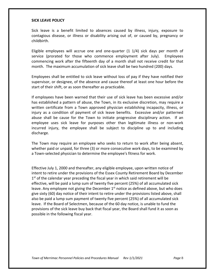#### **SICK LEAVE POLICY**

Sick leave is a benefit limited to absences caused by illness, injury, exposure to contagious disease, or illness or disability arising out of, or caused by, pregnancy or childbirth.

Eligible employees will accrue one and one-quarter (1 1/4) sick days per month of service (prorated for those who commence employment after July). Employees commencing work after the fifteenth day of a month shall not receive credit for that month. The maximum accumulation of sick leave shall be two hundred (200) days.

Employees shall be entitled to sick leave without loss of pay if they have notified their supervisor, or designee, of the absence and cause thereof at least one hour before the start of their shift, or as soon thereafter as practicable.

If employees have been warned that their use of sick leave has been excessive and/or has established a pattern of abuse, the Town, in its exclusive discretion, may require a written certificate from a Town approved physician establishing incapacity, illness, or injury as a condition of payment of sick leave benefits. Excessive and/or patterned abuse shall be cause for the Town to initiate progressive disciplinary action. If an employee uses sick leave for purposes other than legitimate illness or non-work incurred injury, the employee shall be subject to discipline up to and including discharge.

The Town may require an employee who seeks to return to work after being absent, whether paid or unpaid, for three (3) or more consecutive work days, to be examined by a Town-selected physician to determine the employee's fitness for work.

Effective July 1, 2000 and thereafter, any eligible employee, upon written notice of intent to retire under the provisions of the Essex County Retirement Board by December  $1<sup>st</sup>$  of the calendar year preceding the fiscal year in which said retirement will be effective, will be paid a lump sum of twenty five percent (25%) of all accumulated sick leave. Any employee not giving the December  $1<sup>st</sup>$  notice as defined above, but who does give sixty (60) day notice of their intent to retire under the provisions listed above, shall also be paid a lump sum payment of twenty five percent (25%) of all accumulated sick leave. If the Board of Selectmen, because of the 60 day notice, is unable to fund the provisions of the sick leave buy back that fiscal year, the Board shall fund it as soon as possible in the following fiscal year.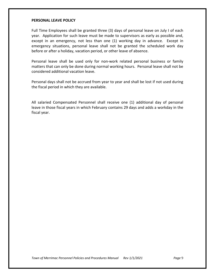## **PERSONAL LEAVE POLICY**

Full Time Employees shall be granted three (3) days of personal leave on July I of each year. Application for such leave must be made to supervisors as early as possible and, except in an emergency, not less than one (1) working day in advance. Except in emergency situations, personal leave shall not be granted the scheduled work day before or after a holiday, vacation period, or other leave of absence.

Personal leave shall be used only for non-work related personal business or family matters that can only be done during normal working hours. Personal leave shall not be considered additional vacation leave.

Personal days shall not be accrued from year to year and shall be lost if not used during the fiscal period in which they are available.

All salaried Compensated Personnel shall receive one (1) additional day of personal leave in those fiscal years in which February contains 29 days and adds a workday in the fiscal year.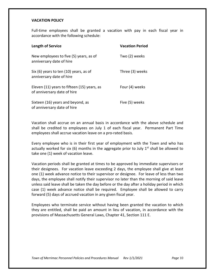## **VACATION POLICY**

Full-time employees shall be granted a vacation with pay in each fiscal year in accordance with the following schedule:

| <b>Length of Service</b>                                                   | <b>Vacation Period</b> |
|----------------------------------------------------------------------------|------------------------|
| New employees to five (5) years, as of<br>anniversary date of hire         | Two (2) weeks          |
| Six (6) years to ten (10) years, as of<br>anniversary date of hire         | Three (3) weeks        |
| Eleven (11) years to fifteen (15) years, as<br>of anniversary date of hire | Four (4) weeks         |
| Sixteen (16) years and beyond, as<br>of anniversary date of hire           | Five (5) weeks         |

Vacation shall accrue on an annual basis in accordance with the above schedule and shall be credited to employees on July 1 of each fiscal year. Permanent Part Time employees shall accrue vacation leave on a pro-rated basis.

Every employee who is in their first year of employment with the Town and who has actually worked for six (6) months in the aggregate prior to July  $1<sup>st</sup>$  shall be allowed to take one (1) week of vacation leave.

Vacation periods shall be granted at times to be approved by immediate supervisors or their designees. For vacation leave exceeding 2 days, the employee shall give at least one (1) week advance notice to their supervisor or designee. For leave of less than two days, the employee shall notify their supervisor no later than the morning of said leave unless said leave shall be taken the day before or the day after a holiday period in which case (1) week advance notice shall be required. Employee shall be allowed to carry forward (5) days of accrued vacation in any given fiscal year.

Employees who terminate service without having been granted the vacation to which they are entitled, shall be paid an amount in lieu of vacation, in accordance with the provisions of Massachusetts General Laws, Chapter 41, Section 111 E.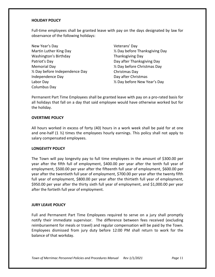# **HOLIDAY POLICY**

Full-time employees shall be granted leave with pay on the days designated by law for observance of the following holidays:

New Year's Day Martin Luther King Day Washington's Birthday Patriot's Day Memorial Day ½ Day before Independence Day Independence Day Labor Day Columbus Day

Veterans' Day ½ Day before Thanksgiving Day Thanksgiving Day Day after Thanksgiving Day ½ Day before Christmas Day Christmas Day Day after Christmas ½ Day before New Year's Day

Permanent Part Time Employees shall be granted leave with pay on a pro-rated basis for all holidays that fall on a day that said employee would have otherwise worked but for the holiday.

# **OVERTIME POLICY**

All hours worked in excess of forty (40) hours in a work week shall be paid for at one and one-half  $(1 \frac{1}{2})$  times the employees hourly earnings. This policy shall not apply to salary compensated employees.

## **LONGEVITY POLICY**

The Town will pay longevity pay to full time employees in the amount of \$300.00 per year after the fifth full of employment, \$400.00 per year after the tenth full year of employment, \$500.00 per year after the fifteenth full year of employment, \$600.00 per year after the twentieth full year of employment, \$700.00 per year after the twenty fifth full year of employment, \$800.00 per year after the thirtieth full year of employment, \$950.00 per year after the thirty sixth full year of employment, and \$1,000.00 per year after the fortieth full year of employment.

## **JURY LEAVE POLICY**

Full and Permanent Part Time Employees required to serve on a jury shall promptly notify their immediate supervisor. The difference between fees received (excluding reimbursement for meals or travel) and regular compensation will be paid by the Town. Employees dismissed from jury duty before 12:00 PM shall return to work for the balance of that workday.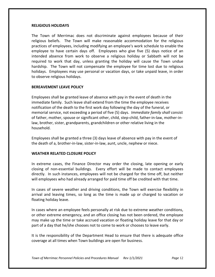## **RELIGIOUS HOLIDAYS**

The Town of Merrimac does not discriminate against employees because of their religious beliefs. The Town will make reasonable accommodation for the religious practices of employees, including modifying an employee's work schedule to enable the employee to have certain days off. Employees who give five (5) days notice of an intended absence from work to observe a religious holiday or Sabbath will not be required to work that day, unless granting the holiday will cause the Town undue hardship. The Town will not compensate the employee for time lost due to religious holidays. Employees may use personal or vacation days, or take unpaid leave, in order to observe religious holidays.

## **BEREAVEMENT LEAVE POLICY**

Employees shall be granted leave of absence with pay in the event of death in the immediate family. Such leave shall extend from the time the employee receives notification of the death to the first work day following the day of the funeral, or memorial service, not exceeding a period of five (5) days. *Immediate family shall* consist of father, mother, spouse or significant other, child, step-child, father-in-law, mother-inlaw, brother, sister, grandparents, grandchildren or other relative living in the household.

Employees shall be granted a three (3) days leave of absence with pay in the event of the death of a, brother-in-law, sister-in-law, aunt, uncle, nephew or niece.

# **WEATHER RELATED CLOSURE POLICY**

In extreme cases, the Finance Director may order the closing, late opening or early closing of non-essential buildings. Every effort will be made to contact employees directly. In such instances, employees will not be charged for the time off, but neither will employees who had already arranged for paid time off be credited with that time.

In cases of severe weather and driving conditions, the Town will exercise flexibility in arrival and leaving times, so long as the time is made up or charged to vacation or floating holiday leave.

In cases where an employee feels personally at risk due to extreme weather conditions, or other extreme emergency, and an office closing has not been ordered, the employee may make up the time or take accrued vacation or floating holiday leave for that day or part of a day that he/she chooses not to come to work or chooses to leave early.

It is the responsibility of the Department Head to ensure that there is adequate office coverage at all times when Town buildings are open for business.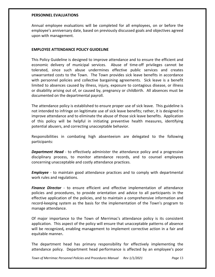## **PERSONNEL EVALUATIONS**

Annual employee evaluations will be completed for all employees, on or before the employee's anniversary date, based on previously discussed goals and objectives agreed upon with management.

# **EMPLOYEE ATTENDANCE POLICY GUIDELINE**

This Policy Guideline is designed to improve attendance and to ensure the efficient and economic delivery of municipal services. Abuse of time-off privileges cannot be tolerated, since such abuse undermines effective public services and creates unwarranted costs to the Town. The Town provides sick leave benefits in accordance with personnel policies and collective bargaining agreements. Sick leave is a benefit limited to absences caused by illness, injury, exposure to contagious disease, or illness or disability arising out of, or caused by, pregnancy or childbirth. All absences must be documented on the departmental payroll.

The attendance policy is established to ensure proper use of sick leave. This guideline is not intended to infringe on legitimate use of sick leave benefits; rather, it is designed to improve attendance and to eliminate the abuse of those sick leave benefits. Application of this policy will be helpful in initiating preventive health measures, identifying potential abusers, and correcting unacceptable behavior.

Responsibilities in combating high absenteeism are delegated to the following participants:

**Department Head** - to effectively administer the attendance policy and a progressive disciplinary process, to monitor attendance records, and to counsel employees concerning unacceptable and costly attendance practices.

*Employee -* to maintain good attendance practices and to comply with departmental work rules and regulations.

*Finance Director -* to ensure efficient and effective implementation of attendance policies and procedures, to provide orientation and advice to all participants in the effective application of the policies, and to maintain a comprehensive information and record-keeping system as the basis for the implementation of the Town's program to manage attendance.

Of major importance to the Town of Merrimac's attendance policy is its consistent application. This aspect of the policy will ensure that unacceptable patterns of absence will be recognized**,** enabling management to implement corrective action in a fair and equitable manner**.**

The department head has primary responsibility for effectively implementing the attendance policy. Department head performance is affected by an employee's poor

*Town of Merrimac Personnel Policies and Procedures Manual Rev 1/1/2021 Page* 13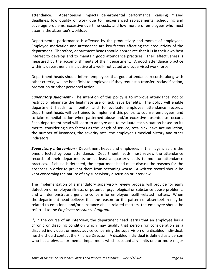attendance. Absenteeism impacts departmental performance, causing missed deadlines, low quality of work due to inexperienced replacements, scheduling and coverage problems, excessive overtime costs, and low morale of employees who must assume the absentee's workload.

Departmental performance is affected by the productivity and morale of employees. Employee motivation and attendance are key factors affecting the productivity of the department. Therefore, department heads should appreciate that it is in their own best interest to develop and to maintain good attendance practices. Their effectiveness is measured by the accomplishments of their department. A good attendance practice within a department is indicative of a well-motivated and supervised work force.

Department heads should inform employees that good attendance records, along with other criteria, will be beneficial to employees if they request a transfer, reclassification, promotion or other personnel action.

*Supervisory Judgment -* The intention of this policy is to improve attendance, not to restrict or eliminate the legitimate use of sick leave benefits. The policy will enable department heads to monitor and to evaluate employee attendance records. Department heads will be trained to implement this policy, to counsel employees, and to take remedial action when patterned abuse and/or excessive absenteeism occurs. Each department head will learn to analyze and to evaluate each situation based on its merits, considering such factors as the length of service, total sick leave accumulation, the number of instances, the severity rate, the employee's medical history and other indicators.

*Supervisory Intervention -* Department heads and employees in their agencies are the ones affected by poor attendance. Department heads must review the attendance records of their departments on at least a quarterly basis to monitor attendance practices. If abuse is detected, the department head must discuss the reasons for the absences in order to prevent them from becoming worse. A written record should be kept concerning the nature of any supervisory discussion or interview.

The implementation of a mandatory supervisory review process will provide for early detection of employee illness, or potential psychological or substance abuse problems, and will demonstrate a genuine concern for employee health-related matters. When the department head believes that the reason for the pattern of absenteeism may be related to emotional and/or substance abuse related matters, the employee should be referred to the *Employee Assistance Program.*

If, in the course of an interview, the department head learns that an employee has a chronic or disabling condition which may qualify that person for consideration as a disabled individual, or needs advice concerning the supervision of a disabled individual, he/she should contact the Finance Director. A disabled individual is defined as a person who has a physical or mental impairment which substantially limits one or more major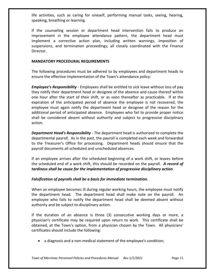life activities, such as caring for oneself, performing manual tasks, seeing, hearing, speaking, breathing or learning.

If the counseling session or department head intervention fails to produce an improvement in the employee attendance pattern, the department head must implement a corrective action plan, including written warnings, imposition of suspensions, and termination proceedings; all closely coordinated with the Finance Director.

# **MANDATORY PROCEDURAL REQUIREMENTS**

The following procedures must be adhered to by employees and department heads to ensure the effective implementation of the Town's attendance policy:

*Employee's Responsibility* - Employees shall be entitled to sick leave without loss of pay they notify their department head or designee of the absence and cause thereof within one hour after the start of their shift, or as soon thereafter as practicable. If at the expiration of the anticipated period of absence the employee is not recovered, the employee must again notify the department head or designee of the reason for the additional period of anticipated absence. Employees who fail to provide proper notice shall be considered absent without authority and subject to progressive disciplinary action.

*Department Head's Responsibility -* The department head is authorized to complete the departmental payroll. As in the past, the payroll is completed each week and forwarded to the Treasurer's Office for processing. Department heads should ensure that the payroll documents all scheduled and unscheduled absences.

If an employee arrives after the scheduled beginning of a work shift, or leaves before the scheduled end of a work shift, this should be recorded on the payroll. *A record of tardiness shall be cause for the implementation of progressive disciplinary action.*

# *Falsification of payrolls shall be a basis for immediate termination.*

When an employee becomes ill during regular working hours, the employee must notify the department head. The department head shall make note on the payroll. An employee who fails to notify the department head shall be deemed absent without authority and be subject to disciplinary action.

If the duration of an absence is three (3) consecutive working days or more, a physician's certificate may be required upon return to work. This certificate shall be obtained, at the Town's option, from a physician chosen by the Town. All physicians' certificates should include the following:

• a diagnosis and a non-medical statement of the employee's condition;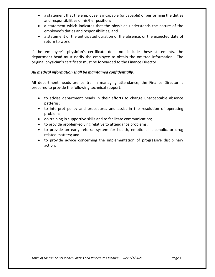- a statement that the employee is incapable (or capable) of performing the duties and responsibilities of his/her position;
- a statement which indicates that the physician understands the nature of the employee's duties and responsibilities; and
- a statement of the anticipated duration of the absence, or the expected date of return to work.

If the employee's physician's certificate does not include these statements, the department head must notify the employee to obtain the omitted information. The original physician's certificate must be forwarded to the Finance Director.

# *All medical information shall be maintained confidentially.*

All department heads are central in managing attendance; the Finance Director is prepared to provide the following technical support:

- to advise department heads in their efforts to change unacceptable absence patterns;
- to interpret policy and procedures and assist in the resolution of operating problems;
- do training in supportive skills and to facilitate communication;
- to provide problem-solving relative to attendance problems;
- to provide an early referral system for health, emotional, alcoholic, or drug related matters; and
- to provide advice concerning the implementation of progressive disciplinary action.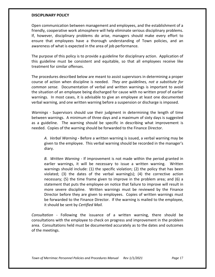## **DISCIPLINARY POLICY**

Open communication between management and employees, and the establishment of a friendly, cooperative work atmosphere will help eliminate serious disciplinary problems. If, however, disciplinary problems do arise, managers should make every effort to ensure that employees have a thorough understanding of Town policies, and an awareness of what is expected in the area of job performance.

The purpose of this policy is to provide a guideline for disciplinary action. Application of this guideline must be consistent and equitable, so that all employees receive like treatment for similar offenses.

The procedures described below are meant to assist supervisors in determining a proper course of action when discipline is needed. *They are guidelines, not a substitute for common sense.* Documentation of verbal and written warnings is important to avoid the situation of an employee being discharged for cause with no written proof of earlier warnings. In most cases, it is advisable to give an employee at least one documented verbal warning, and one written warning before a suspension or discharge is imposed.

*Warnings* - Supervisors should use their judgment in determining the length of time between warnings. A minimum of three days and a maximum of sixty days is suggested as a guideline. The warning should be specific in describing what improvement is needed. Copies of the warning should be forwarded to the Finance Director.

*A. Verbal Warning -* Before a written warning is issued, a verbal warning may be given to the employee. This verbal warning should be recorded in the manager's diary.

*B. Written Warning -* If improvement is not made within the period granted in earlier warnings, it will be necessary to issue a written warning. Written warnings should include: (1) the specific violation; (2) the policy that has been violated; (3) the dates of the verbal warning(s); (4) the corrective action necessary; (5) the time frame given to improve in the problem area; and (6) a statement that puts the employee on notice that failure to improve will result in more severe discipline. Written warnings must be reviewed by the Finance Director before they are given to employees. Copies of written warnings must be forwarded to the Finance Director. If the warning is mailed to the employee, it should be sent by *Certified Mail.*

*Consultation -* Following the issuance of a written warning, there should be consultations with the employee to check on progress and improvement in the problem area. Consultations held must be documented accurately as to the dates and outcomes of the meetings.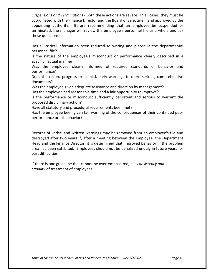*Suspensions and Terminations -* Both these actions are severe. In all cases, they must be coordinated with the Finance Director and the Board of Selectmen, and approved by the appointing authority. Before recommending that an employee be suspended or terminated, the manager will review the employee's personnel file as a whole and ask these questions:

Has all critical information been reduced to writing and placed in the departmental personnel file?

Is the nature of the employee's misconduct or performance clearly described in a specific, factual manner?

Was the employee clearly informed of required standards of behavior and performance?

Does the record progress from mild, early warnings to more serious, comprehensive documents?

Was the employee given adequate assistance and direction by management?

Has the employee had reasonable time and a fair opportunity to improve?

Is the performance or misconduct sufficiently persistent and serious to warrant the proposed disciplinary action?

Have all statutory and procedural requirements been met?

Has the employee been given fair warning of the consequences of their continued poor performance or misbehavior?

Records of verbal and written warnings may be removed from an employee's file and destroyed after two years if, after a meeting between the Employee, the Department Head and the Finance Director, it is determined that improved behavior in the problem area has been exhibited. Employees should not be penalized unduly in future years for past difficulties.

If there is one guideline that cannot be over-emphasized, it is *consistency and equality* of treatment of employees.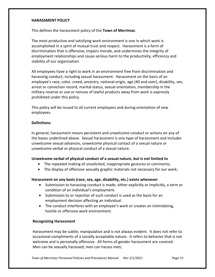# **HARASSMENT POLICY**

This defines the harassment policy of the **Town of Merrimac**.

The most productive and satisfying work environment is one in which work is accomplished in a spirit of mutual trust and respect. Harassment is a form of discrimination that is offensive, impairs morale, and undermines the integrity of employment relationships and cause serious harm to the productivity, efficiency and stability of our organization.

All employees have a right to work in an environment free from discrimination and harassing conduct, including sexual harassment. Harassment on the basis of an employee's race, color, creed, ancestry, national origin, age (40 and over), disability, sex, arrest or conviction record, marital status, sexual orientation, membership in the military reserve or use or nonuse of lawful products away from work is expressly prohibited under this policy.

This policy will be issued to all current employees and during orientation of new employees.

# **Definitions**

In general, harassment means persistent and unwelcome conduct or actions on any of the bases underlined above. Sexual harassment is one type of harassment and includes unwelcome sexual advances, unwelcome physical contact of a sexual nature or unwelcome verbal or physical conduct of a sexual nature.

# **Unwelcome verbal of physical conduct of a sexual nature, but is not limited to**

- The repeated making of unsolicited, inappropriate gestures or comments;
- The display of offensive sexually graphic materials not necessary for our work;

## **Harassment on any basis (race, sex, age, disability, etc.) exists whenever**

- Submission to harassing conduct is made, either explicitly or implicitly, a term or condition of an individual's employment.
- Submission to or rejection of such conduct is used as the basis for an employment decision affecting an individual.
- The conduct interferes with an employee's work or creates an intimidating, hostile or offensive work environment.

## **Recognizing Harassment**

Harassment may be subtle, manipulative and is not always evident. It does not refer to occasional compliments of a socially acceptable nature. It refers to behavior that is not welcome and is personally offensive. All forms of gender harassment are covered. Men can be sexually harassed; men can harass men;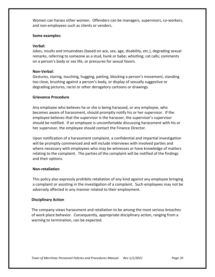Women can harass other women. Offenders can be managers, supervisors, co-workers, and non-employees such as clients or vendors.

# **Some examples:**

# **Verbal:**

Jokes, insults and innuendoes (based on ace, sex, age, disability, etc.), degrading sexual remarks, referring to someone as a stud, hunk or babe; whistling; cat calls; comments on a person's body or sex life, or pressures for sexual favors.

# **Non-Verbal:**

Gestures, staring, touching, hugging, patting, blocking a person's movement, standing too close, brushing against a person's body, or display of sexually suggestive or degrading pictures, racist or other derogatory cartoons or drawings.

# **Grievance Procedure**

Any employee who believes he or she is being harassed, or any employee, who becomes aware of harassment, should promptly notify his or her supervisor. If the employee believes that the supervisor is the harasser, the supervisor's supervisor should be notified. If an employee is uncomfortable discussing harassment with his or her supervisor, the employee should contact the Finance Director.

Upon notification of a harassment complaint, a confidential and impartial investigation will be promptly commenced and will include interviews with involved parties and where necessary with employees who may be witnesses or have knowledge of matters relating to the complaint. The parties of the complaint will be notified of the findings and their options.

## **Non-retaliation**

This policy also expressly prohibits retaliation of any kind against any employee bringing a complaint or assisting in the investigation of a complaint. Such employees may not be adversely affected in any manner related to their employment.

## **Disciplinary Action**

The company views harassment and retaliation to be among the most serious breaches of work place behavior. Consequently, appropriate disciplinary action, ranging from a warning to termination, can be expected.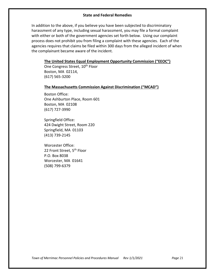# **State and Federal Remedies**

In addition to the above, if you believe you have been subjected to discriminatory harassment of any type, including sexual harassment, you may file a formal complaint with either or both of the government agencies set forth below. Using our complaint process does not prohibit you from filing a complaint with these agencies. Each of the agencies requires that claims be filed within 300 days from the alleged incident of when the complainant became aware of the incident.

# **The United States Equal Employment Opportunity Commission ("EEOC")**

One Congress Street, 10<sup>th</sup> Floor Boston, MA 02114, (617) 565-3200

#### **The Massachusetts Commission Against Discrimination ("MCAD")**

Boston Office: One Ashburton Place, Room 601 Boston, MA 02108 (617) 727-3990

Springfield Office: 424 Dwight Street, Room 220 Springfield, MA 01103 (413) 739-2145

Worcester Office: 22 Front Street, 5<sup>th</sup> Floor P.O. Box 8038 Worcester, MA 01641 (508) 799-6379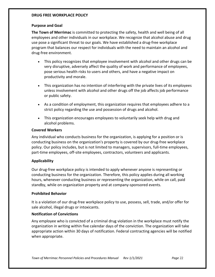# **DRUG FREE WORKPLACE POLICY**

# **Purpose and Goal**

**The Town of Merrimac** is committed to protecting the safety, health and well being of all employees and other individuals in our workplace. We recognize that alcohol abuse and drug use pose a significant threat to our goals. We have established a drug-free workplace program that balances our respect for individuals with the need to maintain an alcohol and drug-free environment.

- This policy recognizes that employee involvement with alcohol and other drugs can be very disruptive, adversely affect the quality of work and performance of employees, pose serious health risks to users and others, and have a negative impact on productivity and morale.
- This organization has no intention of interfering with the private lives of its employees unless involvement with alcohol and other drugs off the job affects job performance or public safety.
- As a condition of employment, this organization requires that employees adhere to a strict policy regarding the use and possession of drugs and alcohol.
- This organization encourages employees to voluntarily seek help with drug and alcohol problems.

# **Covered Workers**

Any individual who conducts business for the organization, is applying for a position or is conducting business on the organization's property is covered by our drug-free workplace policy. Our policy includes, but is not limited to managers, supervisors, full-time employees, part-time employees, off-site employees, contractors, volunteers and applicants.

# **Applicability**

Our drug-free workplace policy is intended to apply whenever anyone is representing or conducting business for the organization. Therefore, this policy applies during all working hours, whenever conducting business or representing the organization, while on call, paid standby, while on organization property and at company-sponsored events.

## **Prohibited Behavior**

It is a violation of our drug-free workplace policy to use, possess, sell, trade, and/or offer for sale alcohol, illegal drugs or intoxicants.

# **Notification of Convictions**

Any employee who is convicted of a criminal drug violation in the workplace must notify the organization in writing within five calendar days of the conviction. The organization will take appropriate action within 30 days of notification. Federal contracting agencies will be notified when appropriate.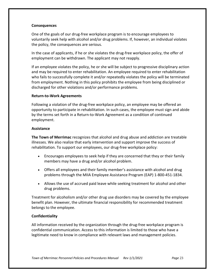# **Consequences**

One of the goals of our drug-free workplace program is to encourage employees to voluntarily seek help with alcohol and/or drug problems. If, however, an individual violates the policy, the consequences are serious.

In the case of applicants, if he or she violates the drug-free workplace policy, the offer of employment can be withdrawn. The applicant may not reapply.

If an employee violates the policy, he or she will be subject to progressive disciplinary action and may be required to enter rehabilitation. An employee required to enter rehabilitation who fails to successfully complete it and/or repeatedly violates the policy will be terminated from employment. Nothing in this policy prohibits the employee from being disciplined or discharged for other violations and/or performance problems.

# **Return-to-Work Agreements**

Following a violation of the drug-free workplace policy, an employee may be offered an opportunity to participate in rehabilitation. In such cases, the employee must sign and abide by the terms set forth in a Return-to-Work Agreement as a condition of continued employment.

# **Assistance**

**The Town of Merrimac** recognizes that alcohol and drug abuse and addiction are treatable illnesses. We also realize that early intervention and support improve the success of rehabilitation. To support our employees, our drug-free workplace policy:

- Encourages employees to seek help if they are concerned that they or their family members may have a drug and/or alcohol problem.
- Offers all employees and their family member's assistance with alcohol and drug problems through the MIIA Employee Assistance Program (EAP) 1-800-451-1834.
- Allows the use of accrued paid leave while seeking treatment for alcohol and other drug problems.

Treatment for alcoholism and/or other drug use disorders may be covered by the employee benefit plan. However, the ultimate financial responsibility for recommended treatment belongs to the employee.

# **Confidentiality**

All information received by the organization through the drug-free workplace program is confidential communication. Access to this information is limited to those who have a legitimate need to know in compliance with relevant laws and management policies.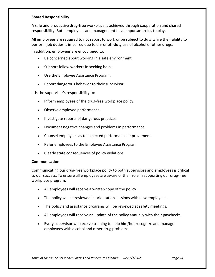# **Shared Responsibility**

A safe and productive drug-free workplace is achieved through cooperation and shared responsibility. Both employees and management have important roles to play.

All employees are required to not report to work or be subject to duty while their ability to perform job duties is impaired due to on- or off-duty use of alcohol or other drugs.

In addition, employees are encouraged to:

- Be concerned about working in a safe environment.
- Support fellow workers in seeking help.
- Use the Employee Assistance Program.
- Report dangerous behavior to their supervisor.

It is the supervisor's responsibility to:

- Inform employees of the drug-free workplace policy.
- Observe employee performance.
- Investigate reports of dangerous practices.
- Document negative changes and problems in performance.
- Counsel employees as to expected performance improvement.
- Refer employees to the Employee Assistance Program.
- Clearly state consequences of policy violations.

## **Communication**

Communicating our drug-free workplace policy to both supervisors and employees is critical to our success. To ensure all employees are aware of their role in supporting our drug-free workplace program:

- All employees will receive a written copy of the policy.
- The policy will be reviewed in orientation sessions with new employees.
- The policy and assistance programs will be reviewed at safety meetings.
- All employees will receive an update of the policy annually with their paychecks.
- Every supervisor will receive training to help him/her recognize and manage employees with alcohol and other drug problems.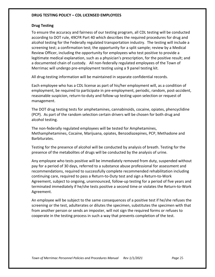# **DRUG TESTING POLICY – CDL LICENSED EMPLOYEES**

# **Drug Testing**

To ensure the accuracy and fairness of our testing program, all CDL testing will be conducted according to DOT rule, 49CFR Part 40 which describes the required procedures for drug and alcohol testing for the Federally regulated transportation industry. The testing will include a screening test; a confirmation test; the opportunity for a split sample; review by a Medical Review Officer, including the opportunity for employees who test positive to provide a legitimate medical explanation, such as a physician's prescription, for the positive result; and a documented chain of custody. All non-federally regulated employees of the Town of Merrimac will undergo pre-employment testing using a 9 panel testing kit.

All drug-testing information will be maintained in separate confidential records.

Each employee who has a CDL license as part of his/her employment will, as a condition of employment, be required to participate in pre-employment, periodic, random, post-accident, reasonable suspicion, return-to-duty and follow-up testing upon selection or request of management.

The DOT drug testing tests for amphetamines, cannabinoids, cocaine, opiates, phencyclidine (PCP). As part of the random selection certain drivers will be chosen for both drug and alcohol testing.

The non-federally regulated employees will be tested for Amphetamines, Methamphetamines, Cocaine, Marijuana, opiates, Benzodiazepines, PCP, Methadone and Barbiturates.

Testing for the presence of alcohol will be conducted by analysis of breath. Testing for the presence of the metabolites of drugs will be conducted by the analysis of urine.

Any employee who tests positive will be immediately removed from duty, suspended without pay for a period of 30 days, referred to a substance abuse professional for assessment and recommendations, required to successfully complete recommended rehabilitation including continuing care, required to pass a Return-to-Duty test and sign a Return-to-Work Agreement, subject to ongoing, unannounced, follow-up testing for a period of five years and terminated immediately if he/she tests positive a second time or violates the Return-to-Work Agreement.

An employee will be subject to the same consequences of a positive test if he/she refuses the screening or the test, adulterates or dilutes the specimen, substitutes the specimen with that from another person or sends an imposter, will not sign the required forms or refuses to cooperate in the testing process in such a way that prevents completion of the test.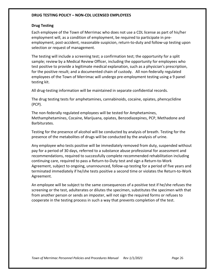# **DRUG TESTING POLICY – NON-CDL LICENSED EMPLOYEES**

## **Drug Testing**

Each employee of the Town of Merrimac who does not use a CDL license as part of his/her employment will, as a condition of employment, be required to participate in preemployment, post-accident, reasonable suspicion, return-to-duty and follow-up testing upon selection or request of management.

The testing will include a screening test; a confirmation test; the opportunity for a split sample; review by a Medical Review Officer, including the opportunity for employees who test positive to provide a legitimate medical explanation, such as a physician's prescription, for the positive result; and a documented chain of custody. All non-federally regulated employees of the Town of Merrimac will undergo pre-employment testing using a 9 panel testing kit.

All drug-testing information will be maintained in separate confidential records.

The drug testing tests for amphetamines, cannabinoids, cocaine, opiates, phencyclidine (PCP).

The non-federally regulated employees will be tested for Amphetamines, Methamphetamines, Cocaine, Marijuana, opiates, Benzodiazepines, PCP, Methadone and Barbiturates.

Testing for the presence of alcohol will be conducted by analysis of breath. Testing for the presence of the metabolites of drugs will be conducted by the analysis of urine.

Any employee who tests positive will be immediately removed from duty, suspended without pay for a period of 30 days, referred to a substance abuse professional for assessment and recommendations, required to successfully complete recommended rehabilitation including continuing care, required to pass a Return-to-Duty test and sign a Return-to-Work Agreement, subject to ongoing, unannounced, follow-up testing for a period of five years and terminated immediately if he/she tests positive a second time or violates the Return-to-Work Agreement.

An employee will be subject to the same consequences of a positive test if he/she refuses the screening or the test, adulterates or dilutes the specimen, substitutes the specimen with that from another person or sends an imposter, will not sign the required forms or refuses to cooperate in the testing process in such a way that prevents completion of the test.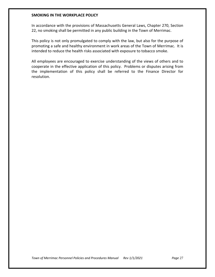## **SMOKING IN THE WORKPLACE POLICY**

In accordance with the provisions of Massachusetts General Laws, Chapter 270, Section 22, no smoking shall be permitted in any public building in the Town of Merrimac.

This policy is not only promulgated to comply with the law, but also for the purpose of promoting a safe and healthy environment in work areas of the Town of Merrimac. It is intended to reduce the health risks associated with exposure to tobacco smoke.

All employees are encouraged to exercise understanding of the views of others and to cooperate in the effective application of this policy. Problems or disputes arising from the implementation of this policy shall be referred to the Finance Director for resolution.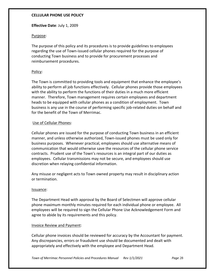# **CELLULAR PHONE USE POLICY**

# **Effective Date**: July 1, 2009

# Purpose:

The purpose of this policy and its procedures is to provide guidelines to employees regarding the use of Town-issued cellular phones required for the purpose of conducting Town business and to provide for procurement processes and reimbursement procedures.

# Policy:

The Town is committed to providing tools and equipment that enhance the employee's ability to perform all job functions effectively. Cellular phones provide those employees with the ability to perform the functions of their duties in a much more efficient manner. Therefore, Town management requires certain employees and department heads to be equipped with cellular phones as a condition of employment. Town business is any use in the course of performing specific job-related duties on behalf and for the benefit of the Town of Merrimac.

# Use of Cellular Phones:

Cellular phones are issued for the purpose of conducting Town business in an efficient manner, and unless otherwise authorized, Town-issued phones must be used only for business purposes. Whenever practical, employees should use alternative means of communication that would otherwise save the resources of the cellular phone service contracts. Prudent use of the Town's resources is an integral part of our duties as employees. Cellular transmissions may not be secure, and employees should use discretion when relaying confidential information.

Any misuse or negligent acts to Town owned property may result in disciplinary action or termination.

## Issuance:

The Department Head with approval by the Board of Selectmen will approve cellular phone maximum monthly minutes required for each individual phone or employee. All employees will be required to sign the Cellular Phone Use Acknowledgement Form and agree to abide by its requirements and this policy.

## Invoice Review and Payment:

Cellular phone invoices should be reviewed for accuracy by the Accountant for payment. Any discrepancies, errors or fraudulent use should be documented and dealt with appropriately and effectively with the employee and Department Head.

*Town of Merrimac Personnel Policies and Procedures Manual Rev 1/1/2021 Page* 28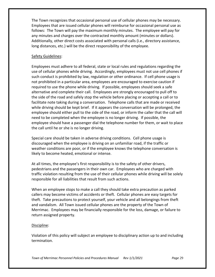The Town recognizes that occasional personal use of cellular phones may be necessary. Employees that are issued cellular phones will reimburse for occasional personal use as follows: The Town will pay the maximum monthly minutes. The employee will pay for any minutes and charges over the contracted monthly amount (minutes or dollars). Additionally, other direct costs associated with personal calls (i.e., directory assistance, long distances, etc.) will be the direct responsibility of the employee.

# Safety Guidelines:

Employees must adhere to all federal, state or local rules and regulations regarding the use of cellular phones while driving. Accordingly, employees must not use cell phones if such conduct is prohibited by law, regulation or other ordinance. If cell phone usage is not prohibited in a particular area, employees are encouraged to exercise caution if required to use the phone while driving. If possible, employees should seek a safe alternative and complete their call. Employees are strongly encouraged to pull off to the side of the road and safely stop the vehicle before placing or accepting a call or to facilitate note taking during a conversation. Telephone calls that are made or received while driving should be kept brief. If it appears the conversation will be prolonged, the employee should either pull to the side of the road, or inform the caller that the call will need to be completed when the employee is no longer driving. If possible, the employee should have a passenger dial the telephone number for them, or wait to place the call until he or she is no longer driving.

Special care should be taken in adverse driving conditions. Cell phone usage is discouraged when the employee is driving on an unfamiliar road, if the traffic or weather conditions are poor, or if the employee knows the telephone conversation is likely to become heated, emotional or intense.

At all times, the employee's first responsibility is to the safety of other drivers, pedestrians and the passengers in their own car. Employees who are charged with traffic violation resulting from the use of their cellular phones while driving will be solely responsible for all liabilities that result from such actions.

When an employee stops to make a call they should take extra precaution as parked callers may become victims of accidents or theft. Cellular phones are easy targets for theft. Take precautions to protect yourself, your vehicle and all belongings from theft and vandalism. All Town issued cellular phones are the property of the Town of Merrimac. Employees may be financially responsible for the loss, damage, or failure to return assigned property.

# Discipline:

Violation of this policy will subject an employee to disciplinary action up to and including termination.

*Town of Merrimac Personnel Policies and Procedures Manual Rev 1/1/2021 Page* 29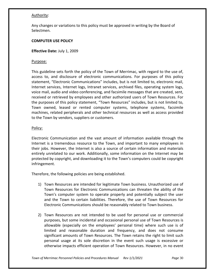# Authority:

Any changes or variations to this policy must be approved in writing by the Board of Selectmen.

# **COMPUTER USE POLICY**

**Effective Date:** July 1, 2009

## Purpose:

This guideline sets forth the policy of the Town of Merrimac, with regard to the use of, access to, and disclosure of electronic communications. For purposes of this policy statement, "Electronic Communications" includes, but is not limited to, electronic mail, Internet services, Internet logs, Intranet services, archived files, operating system logs, voice mail, audio and video conferencing, and facsimile messages that are created, sent, received or retrieved by employees and other authorized users of Town Resources. For the purposes of this policy statement, "Town Resources" includes, but is not limited to, Town owned, leased or rented computer systems, telephone systems, facsimile machines, related peripherals and other technical resources as well as access provided to the Town by vendors, suppliers or customers.

# Policy:

Electronic Communication and the vast amount of information available through the Internet is a tremendous resource to the Town, and important to many employees in their jobs. However, the Internet is also a source of certain information and materials entirely unrelated to our work. Additionally, some information on the Internet may be protected by copyright, and downloading it to the Town's computers could be copyright infringement.

Therefore, the following policies are being established.

- 1) Town Resources are intended for legitimate Town business. Unauthorized use of Town Resources for Electronic Communications can threaten the ability of the Town's computer system to operate properly and potentially subject the user and the Town to certain liabilities. Therefore, the use of Town Resources for Electronic Communications should be reasonably related to Town business.
- 2) Town Resources are not intended to be used for personal use or commercial purposes, but some incidental and occasional personal use of Town Resources is allowable (especially on the employees' personal time) where such use is of limited and reasonable duration and frequency, and does not consume significant amounts of Town Resources. The Town retains the right to limit such personal usage at its sole discretion in the event such usage is excessive or otherwise impacts efficient operation of Town Resources. However, in no event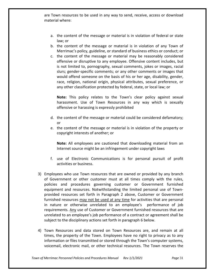are Town resources to be used in any way to send, receive, access or download material where:

- a. the content of the message or material is in violation of federal or state law; or
- b. the content of the message or material is in violation of any Town of Merrimac's policy, guideline, or standard of business ethics or conduct; or
- c. the content of the message or material may be reasonably considered offensive or disruptive to any employee. Offensive content includes, but is not limited to, pornography, sexual comments, jokes or images, racial slurs; gender-specific comments; or any other comments or images that would offend someone on the basis of his or her age, disability, gender, race, religion, national origin, physical attributes, sexual preference, or any other classification protected by federal, state, or local law; or

**Note:** This policy relates to the Town's clear policy against sexual harassment. Use of Town Resources in any way which is sexually offensive or harassing is expressly prohibited

- d. the content of the message or material could be considered defamatory; or
- e. the content of the message or material is in violation of the property or copyright interests of another; or

**Note:** All employees are cautioned that downloading material from an Internet source might be an infringement under copyright laws

- f. use of Electronic Communications is for personal pursuit of profit activities or business.
- 3) Employees who use Town resources that are owned or provided by any branch of Government or other customer must at all times comply with the rules, policies and procedures governing customer or Government furnished equipment and resources. Notwithstanding the limited personal use of Townprovided resources set forth in Paragraph 2 above, Customer or Government furnished resources may not be used at any time for activities that are personal in nature or otherwise unrelated to an employee's performance of job requirements. Any use of Customer or Government furnished resources that are unrelated to an employee's job performance of a contract or agreement shall be subject to the disciplinary actions set forth in paragraph 6 below.
- 4) Town Resources and data stored on Town Resources are, and remain at all times, the property of the Town. Employees have no right to privacy as to any information or files transmitted or stored through the Town's computer systems, voicemail, electronic mail, or other technical resources. The Town reserves the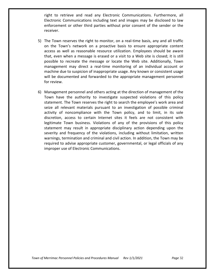right to retrieve and read any Electronic Communications. Furthermore, all Electronic Communications including text and images may be disclosed to law enforcement or other third parties without prior consent of the sender or the receiver.

- 5) The Town reserves the right to monitor, on a real-time basis, any and all traffic on the Town's network on a proactive basis to ensure appropriate content access as well as reasonable resource utilization. Employees should be aware that, even when a message is erased or a visit to a Web site is closed; it is still possible to recreate the message or locate the Web site. Additionally, Town management may direct a real-time monitoring of an individual account or machine due to suspicion of inappropriate usage. Any known or consistent usage will be documented and forwarded to the appropriate management personnel for review.
- 6) Management personnel and others acting at the direction of management of the Town have the authority to investigate suspected violations of this policy statement. The Town reserves the right to search the employee's work area and seize all relevant materials pursuant to an investigation of possible criminal activity of noncompliance with the Town policy, and to limit, in its sole discretion, access to certain Internet sites it feels are not consistent with legitimate Town business. Violations of any of the provisions of this policy statement may result in appropriate disciplinary action depending upon the severity and frequency of the violations, including without limitation, written warnings, termination and criminal and civil action. In addition, the Town may be required to advise appropriate customer, governmental, or legal officials of any improper use of Electronic Communications.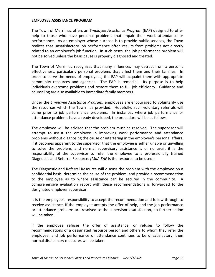## **EMPLOYEE ASSISTANCE PROGRAM**

The Town of Merrimac offers an *Employee Assistance Program* (EAP) designed to offer help to those who have personal problems that impair their work attendance or performance. As an employer whose purpose is to provide public services, the Town realizes that unsatisfactory job performance often results from problems not directly related to an employee's job function. In such cases, the job performance problem will not be solved unless the basic cause is properly diagnosed and treated.

The Town of Merrimac recognizes that many influences may detract from a person's effectiveness, particularly personal problems that affect them and their families. In order to serve the needs of employees, the EAP will acquaint them with appropriate community resources and agencies. The EAP is remedial. Its purpose is to help individuals overcome problems and restore them to full job efficiency. Guidance and counseling are also available to immediate family members.

Under the *Employee Assistance Program,* employees are encouraged to voluntarily use the resources which the Town has provided. Hopefully, such voluntary referrals will come prior to job performance problems. In instances where job performance or attendance problems have already developed, the procedure will be as follows:

The employee will be advised that the problem must be resolved. The supervisor will attempt to assist the employee in improving work performance and attendance problems without diagnosing the cause or interfering in the employee's personal affairs. If it becomes apparent to the supervisor that the employee is either unable or unwilling to solve the problem, and normal supervisory assistance is of no avail, it is the responsibility of the supervisor to refer the employee to a professionally trained Diagnostic and Referral Resource. *(MIIA EAP* is the resource to be used.)

The Diagnostic and Referral Resource will discuss the problem with the employee on a confidential basis, determine the cause of the problem, and provide a recommendation to the employee as to where assistance can be secured in the community. A comprehensive evaluation report with these recommendations is forwarded to the designated employer supervisor.

It is the employee's responsibility to accept the recommendation and follow through to receive assistance. If the employee accepts the offer of help, and the job performance or attendance problems are resolved to the supervisor's satisfaction, no further action will be taken.

If the employee refuses the offer of assistance, or refuses to follow the recommendations of a designated resource person and others to whom they refer the employee, and job performance or attendance continues to be unsatisfactory, then normal disciplinary measures will be taken.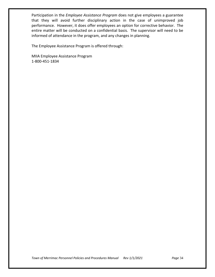Participation in the *Employee Assistance Program* does not give employees a guarantee that they will avoid further disciplinary action in the case of unimproved job performance. However, it does offer employees an option for corrective behavior. The entire matter will be conducted on a confidential basis. The supervisor will need to be informed of attendance in the program, and any changes in planning.

The Employee Assistance Program is offered through:

MIIA Employee Assistance Program 1-800-451-1834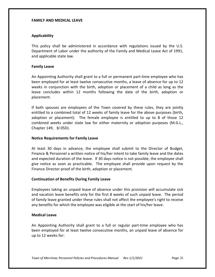## **FAMILY AND MEDICAL LEAVE**

# **Applicability**

This policy shall be administered in accordance with regulations issued by the U.S. Department of Labor under the authority of the Family and Medical Leave Act of 1991, and applicable state law.

# **Family Leave**

An Appointing Authority shall grant to a full or permanent part-time employee who has been employed for at least twelve consecutive months, a leave of absence for up to 12 weeks in conjunction with the birth, adoption or placement of a child as long as the leave concludes within 12 months following the date of the birth, adoption or placement.

If both spouses are employees of the Town covered by these rules, they are jointly entitled to a combined total of 12 weeks of family leave for the above purposes (birth, adoption or placement). The female employee is entitled to up to 8 of those 12 combined weeks under state law for either maternity or adoption purposes (M.G.L., Chapter 149, §l 05D).

# **Notice Requirements for Family Leave**

At least 30 days in advance, the employee shall submit to the Director of Budget, Finance & Personnel a written notice of his/her intent to take family leave and the dates and expected duration of the leave. If 30 days notice is not possible, the employee shall give notice as soon as practicable. The employee shall provide upon request by the Finance Director proof of the birth, adoption or placement.

# **Continuation of Benefits During Family Leave**

Employees taking an unpaid leave of absence under this provision will accumulate sick and vacation leave benefits only for the first 8 weeks of such unpaid leave. The period of family leave granted under these rules shall not affect the employee's right to receive any benefits for which the employee was eligible at the start of his/her leave.

## **Medical Leave**

An Appointing Authority shall grant to a full or regular part-time employee who has been employed for at least twelve consecutive months, an unpaid leave of absence for up to 12 weeks for: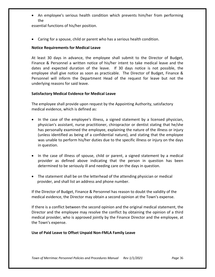• An employee's serious health condition which prevents him/her from performing the

essential functions of his/her position.

• Caring for a spouse, child or parent who has a serious health condition.

# **Notice Requirements for Medical Leave**

At least 30 days in advance, the employee shall submit to the Director of Budget, Finance & Personnel a written notice of his/her intent to take medical leave and the dates and expected duration of the leave. If 30 days notice is not possible, the employee shall give notice as soon as practicable. The Director of Budget, Finance & Personnel will inform the Department Head of the request for leave but not the underlying reasons for said leave.

# **Satisfactory Medical Evidence for Medical Leave**

The employee shall provide upon request by the Appointing Authority, satisfactory medical evidence, which is defined as:

- In the case of the employee's illness, a signed statement by a licensed physician, physician's assistant, nurse practitioner, chiropractor or dentist stating that he/she has personally examined the employee, explaining the nature of the illness or injury (unless identified as being of a confidential nature), and stating that the employee was unable to perform his/her duties due to the specific illness or injury on the days in question.
- In the case of illness of spouse, child or parent, a signed statement by a medical provider as defined above indicating that the person in question has been determined to be seriously ill and needing care on the days in question.
- The statement shall be on the letterhead of the attending physician or medical provider, and shall list an address and phone number.

If the Director of Budget, Finance & Personnel has reason to doubt the validity of the medical evidence, the Director may obtain a second opinion at the Town's expense.

If there is a conflict between the second opinion and the original medical statement, the Director and the employee may resolve the conflict by obtaining the opinion of a third medical provider, who is approved jointly by the Finance Director and the employee, at the Town's expense.

# **Use of Paid Leave to Offset Unpaid Non-FMLA Family Leave**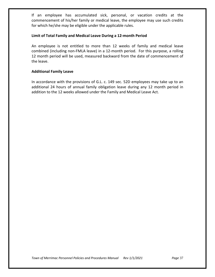If an employee has accumulated sick, personal, or vacation credits at the commencement of his/her family or medical leave, the employee may use such credits for which he/she may be eligible under the applicable rules.

## **Limit of Total Family and Medical Leave During a 12-month Period**

An employee is not entitled to more than 12 weeks of family and medical leave combined (including non-FMLA leave) in a 12-month period. For this purpose, a rolling 12 month period will be used, measured backward from the date of commencement of the leave.

# **Additional Family Leave**

In accordance with the provisions of G.L. c. 149 sec. 52D employees may take up to an additional 24 hours of annual family obligation leave during any 12 month period in addition to the 12 weeks allowed under the Family and Medical Leave Act.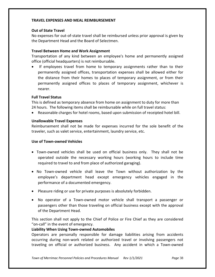## **TRAVEL EXPENSES AND MEAL REIMBURSEMENT**

# **Out of State Travel**

No expenses for out-of-state travel shall be reimbursed unless prior approval is given by the Department Head and the Board of Selectmen.

# **Travel Between Home and Work Assignment**

Transportation of any kind between an employee's home and permanently assigned office (official headquarters) is not reimbursable.

• If employees travel from home to temporary assignments rather than to their permanently assigned offices, transportation expenses shall be allowed either for the distance from their homes to places of temporary assignment, or from their permanently assigned offices to places of temporary assignment, whichever is nearer.

# **Full Travel Status**

This is defined as temporary absence from home on assignment to duty for more than 24 hours. The following items shall be reimbursable while on full travel status:

• Reasonable charges for hotel rooms, based upon submission of receipted hotel bill.

# **Unallowable Travel Expenses**

Reimbursement shall not be made for expenses incurred for the sole benefit of the traveler, such as valet service, entertainment, laundry service, etc.

# **Use of Town-owned Vehicles**

- Town-owned vehicles shall be used on official business only. They shall not be operated outside the necessary working hours (working hours to include time required to travel to and from place of authorized garaging).
- No Town-owned vehicle shall leave the Town without authorization by the employee's department head except emergency vehicles engaged in the performance of a documented emergency.
- Pleasure riding or use for private purposes is absolutely forbidden.
- No operator of a Town-owned motor vehicle shall transport a passenger or passengers other than those traveling on official business except with the approval of the Department Head.

This section shall not apply to the Chief of Police or Fire Chief as they are considered "on-call" in the event of emergency.

## **Liability When Using Town-owned Automobiles**

Operators are personally responsible for damage liabilities arising from accidents occurring during non-work related or authorized travel or involving passengers not traveling on official or authorized business. Any accident in which a Town-owned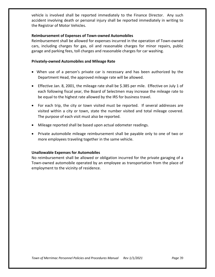vehicle is involved shall be reported immediately to the Finance Director. Any such accident involving death or personal injury shall be reported immediately in writing to the Registrar of Motor Vehicles.

# **Reimbursement of Expenses of Town-owned Automobiles**

Reimbursement shall be allowed for expenses incurred in the operation of Town-owned cars, including charges for gas, oil and reasonable charges for minor repairs, public garage and parking fees, toll charges and reasonable charges for car washing.

# **Privately-owned Automobiles and Mileage Rate**

- When use of a person's private car is necessary and has been authorized by the Department Head, the approved mileage rate will be allowed.
- Effective Jan. 8, 2001, the mileage rate shall be \$.385 per mile. Effective on July 1 of each following fiscal year, the Board of Selectmen may increase the mileage rate to be equal to the highest rate allowed by the IRS for business travel.
- For each trip, the city or town visited must be reported. If several addresses are visited within a city or town, state the number visited and total mileage covered. The purpose of each visit must also be reported.
- Mileage reported shall be based upon actual odometer readings.
- Private automobile mileage reimbursement shall be payable only to one of two or more employees traveling together in the same vehicle.

# **Unallowable Expenses for Automobiles**

No reimbursement shall be allowed or obligation incurred for the private garaging of a Town-owned automobile operated by an employee as transportation from the place of employment to the vicinity of residence.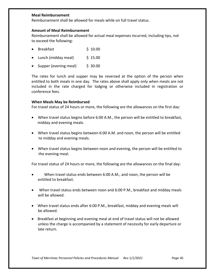# **Meal Reimbursement**

Reimbursement shall be allowed for meals while on full travel status.

# **Amount of Meal Reimbursement**

Reimbursement shall be allowed for actual meal expenses incurred, including tips, not to exceed the following:

- Breakfast \$ 10.00
- Lunch (midday meal)  $\frac{1}{5}$  15.00
- Supper (evening meal)  $\frac{1}{5}$  30.00

The rates for lunch and supper may be reversed at the option of the person when entitled to both meals in one day. The rates above shall apply only when meals are not included in the rate charged for lodging or otherwise included in registration or conference fees.

# **When Meals May be Reimbursed**

For travel status of 24 hours or more, the following are the allowances on the first day:

- When travel status begins before 6:00 A.M., the person will be entitled to breakfast, midday and evening meals.
- When travel status begins between 6:00 A.M. and noon, the person will be entitled to midday and evening meals.
- When travel status begins between noon and evening, the person will be entitled to the evening meal.

For travel status of 24 hours or more, the following are the allowances on the final day:

- When travel status ends between 6:00 A.M., and noon, the person will be entitled to breakfast.
- When travel status ends between noon and 6:00 P.M., breakfast and midday meals will be allowed.
- When travel status ends after 6:00 P.M., breakfast, midday and evening meals will be allowed.
- Breakfast at beginning and evening meal at end of travel status will not be allowed unless the charge is accompanied by a statement of necessity for early departure or late return.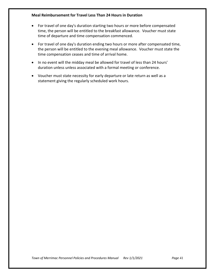# **Meal Reimbursement for Travel Less Than 24 Hours in Duration**

- For travel of one day's duration starting two hours or more before compensated time, the person will be entitled to the breakfast allowance. Voucher must state time of departure and time compensation commenced.
- For travel of one day's duration ending two hours or more after compensated time, the person will be entitled to the evening meal allowance. Voucher must state the time compensation ceases and time of arrival home.
- In no event will the midday meal be allowed for travel of less than 24 hours' duration unless unless associated with a formal meeting or conference.
- Voucher must state necessity for early departure or late return as well as a statement giving the regularly scheduled work hours.